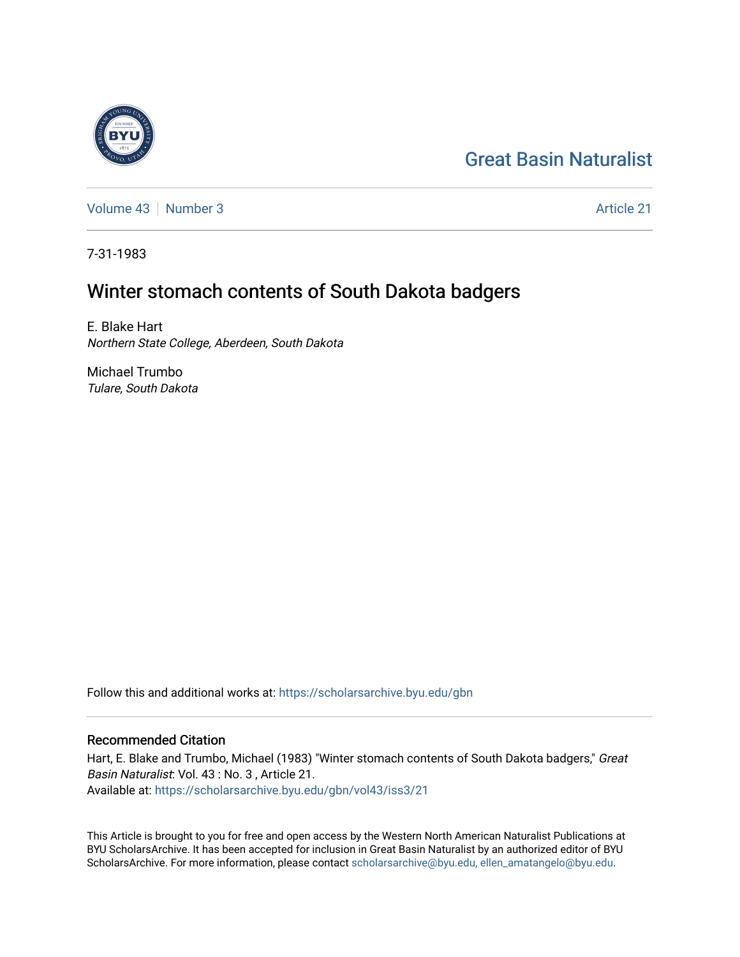# [Great Basin Naturalist](https://scholarsarchive.byu.edu/gbn)

[Volume 43](https://scholarsarchive.byu.edu/gbn/vol43) [Number 3](https://scholarsarchive.byu.edu/gbn/vol43/iss3) Article 21

7-31-1983

## Winter stomach contents of South Dakota badgers

E. Blake Hart Northern State College, Aberdeen, South Dakota

Michael Trumbo Tulare, South Dakota

Follow this and additional works at: [https://scholarsarchive.byu.edu/gbn](https://scholarsarchive.byu.edu/gbn?utm_source=scholarsarchive.byu.edu%2Fgbn%2Fvol43%2Fiss3%2F21&utm_medium=PDF&utm_campaign=PDFCoverPages) 

### Recommended Citation

Hart, E. Blake and Trumbo, Michael (1983) "Winter stomach contents of South Dakota badgers," Great Basin Naturalist: Vol. 43 : No. 3 , Article 21. Available at: [https://scholarsarchive.byu.edu/gbn/vol43/iss3/21](https://scholarsarchive.byu.edu/gbn/vol43/iss3/21?utm_source=scholarsarchive.byu.edu%2Fgbn%2Fvol43%2Fiss3%2F21&utm_medium=PDF&utm_campaign=PDFCoverPages) 

This Article is brought to you for free and open access by the Western North American Naturalist Publications at BYU ScholarsArchive. It has been accepted for inclusion in Great Basin Naturalist by an authorized editor of BYU ScholarsArchive. For more information, please contact [scholarsarchive@byu.edu, ellen\\_amatangelo@byu.edu.](mailto:scholarsarchive@byu.edu,%20ellen_amatangelo@byu.edu)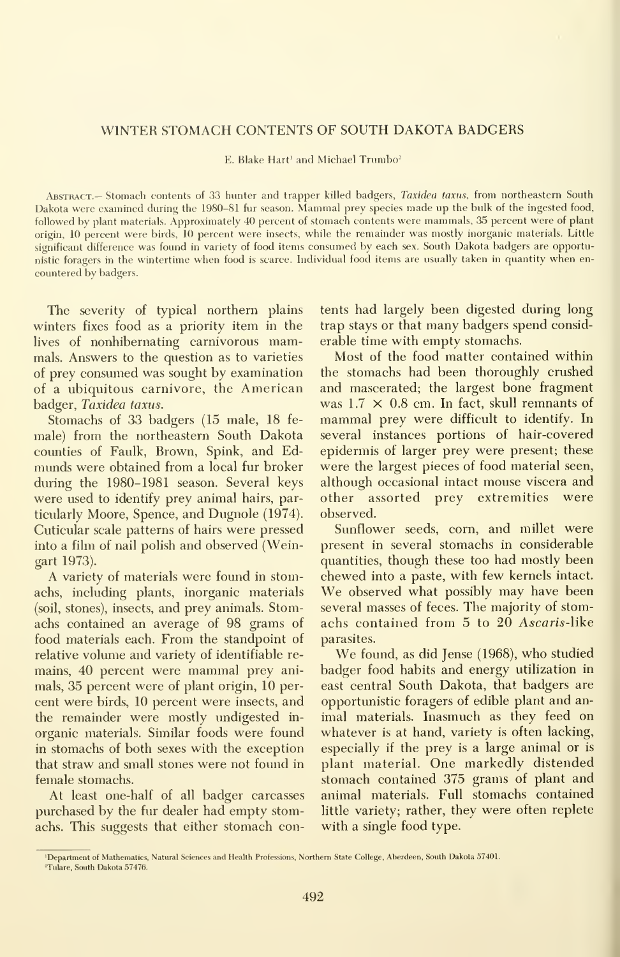### WINTER STOMACH CONTENTS OF SOUTH DAKOTA BADGERS

E. Blake Hart<sup>1</sup> and Michael Trumbo<sup>2</sup>

Abstract.— Stomach contents of 33 hunter and trapper killed badgers, Taxidea taxus, from northeastern South Dakota were examined during the 1980-81 fur season. Mammal prey species made up the bulk of the ingested food, followed by plant materials. Approximately 40 percent of stomach contents were mammals, 35 percent were of plant origin, 10 percent were birds, 10 percent were insects, while the remainder was mostly inorganic materials. Little significant difference was found in variety of food items consumed by each sex. South Dakota badgers are opportunistic foragers in the wintertime when food is scarce. Individual food items are usually taken in quantity when en countered by badgers.

The severity of typical northern plains winters fixes food as a priority item in the lives of nonhibernating carnivorous mammals. Answers to the question as to varieties of prey consumed was sought by examination of a ubiquitous carnivore, the American badger, Taxidea taxus.

Stomachs of 33 badgers (15 male, 18 fe male) from the northeastern South Dakota counties of Faulk, Brown, Spink, and Edmunds were obtained from a local fur broker during the 1980-1981 season. Several keys were used to identify prey animal hairs, particularly Moore, Spence, and Dugnole (1974). Cuticular scale patterns of hairs were pressed into a film of nail polish and observed (Weingart 1973).

A variety of materials were found in stomachs, including plants, inorganic materials (soil, stones), insects, and prey animals. Stomachs contained an average of 98 grams of food materials each. From the standpoint of relative volume and variety of identifiable re mains, 40 percent were mammal prey ani mals, 35 percent were of plant origin, 10 per cent were birds, 10 percent were insects, and the remainder were mostly undigested in organic materials. Similar foods were found in stomachs of both sexes with the exception that straw and small stones were not found in female stomachs.

At least one-half of all badger carcasses purchased by the fur dealer had empty stomachs. This suggests that either stomach contents had largely been digested during long trap stays or that many badgers spend consid erable time with empty stomachs.

Most of the food matter contained within the stomachs had been thoroughly crushed and mascerated; the largest bone fragment was  $1.7 \times 0.8$  cm. In fact, skull remnants of mammal prey were difficult to identify. In several instances portions of hair-covered epidermis of larger prey were present; these were the largest pieces of food material seen, although occasional intact mouse viscera and other assorted prey extremities were observed.

Sunflower seeds, corn, and millet were present in several stomachs in considerable quantities, though these too had mostly been<br>chewed into a paste, with few kernels intact. We observed what possibly may have been several masses of feces. The majority of stom achs contained from 5 to 20 Ascaris-like parasites.

We found, as did Jense (1968), who studied badger food habits and energy utilization in east central South Dakota, that badgers are opportunistic foragers of edible plant and an imal materials. Inasmuch as they feed on whatever is at hand, variety is often lacking, especially if the prey is a large animal or is plant material. One markedly distended stomach contained 375 grams of plant and animal materials. Full stomachs contained little variety; rather, they were often replete with a single food type.

<sup>&#</sup>x27;Department of Mathematics, Natural Sciences and Health Professions, Northern State College, Aberdeen, South Dakota 57401. 'Tulare, South Dakota 57476.